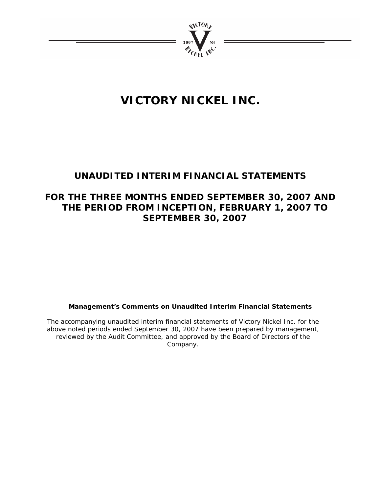

# **VICTORY NICKEL INC.**

# **UNAUDITED INTERIM FINANCIAL STATEMENTS**

# **FOR THE THREE MONTHS ENDED SEPTEMBER 30, 2007 AND THE PERIOD FROM INCEPTION, FEBRUARY 1, 2007 TO SEPTEMBER 30, 2007**

### **Management's Comments on Unaudited Interim Financial Statements**

The accompanying unaudited interim financial statements of Victory Nickel Inc. for the above noted periods ended September 30, 2007 have been prepared by management, reviewed by the Audit Committee, and approved by the Board of Directors of the Company.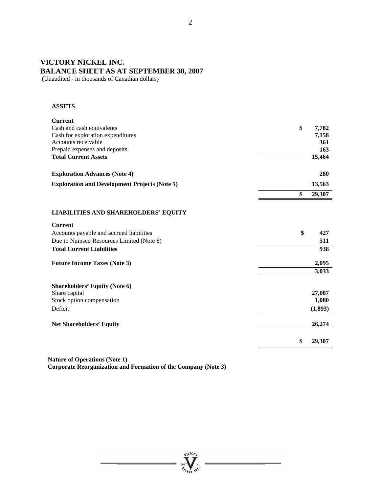# **VICTORY NICKEL INC. BALANCE SHEET AS AT SEPTEMBER 30, 2007**

(Unaudited - in thousands of Canadian dollars)

### **ASSETS**

| <b>Current</b>                                       |              |
|------------------------------------------------------|--------------|
| Cash and cash equivalents                            | \$<br>7,782  |
| Cash for exploration expenditures                    | 7,158        |
| Accounts receivable                                  | 361          |
| Prepaid expenses and deposits                        | 163          |
| <b>Total Current Assets</b>                          | 15,464       |
| <b>Exploration Advances (Note 4)</b>                 | 280          |
| <b>Exploration and Development Projects (Note 5)</b> | 13,563       |
|                                                      | \$<br>29,307 |
| <b>LIABILITIES AND SHAREHOLDERS' EQUITY</b>          |              |
| <b>Current</b>                                       |              |
| Accounts payable and accrued liabilities             | \$<br>427    |
| Due to Nuinsco Resources Limited (Note 8)            | 511          |
| <b>Total Current Liabilities</b>                     | 938          |
| <b>Future Income Taxes (Note 3)</b>                  | 2,095        |
|                                                      | 3,033        |
| <b>Shareholders' Equity (Note 6)</b>                 |              |
| Share capital                                        | 27,087       |
| Stock option compensation                            | 1,080        |
| Deficit                                              | (1, 893)     |
| <b>Net Shareholders' Equity</b>                      | 26,274       |
|                                                      | \$<br>29,307 |

**Nature of Operations (Note 1) Corporate Reorganization and Formation of the Company (Note 3)** 

**Arctory** 

 $n_{\text{crit}}$  inc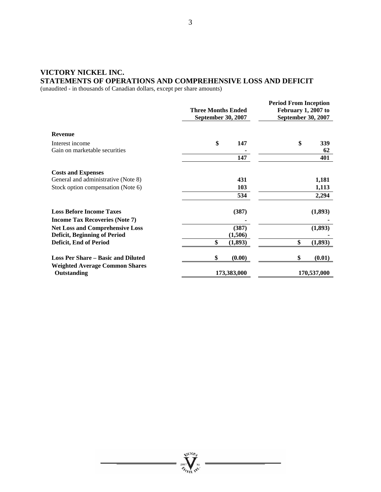### **VICTORY NICKEL INC. STATEMENTS OF OPERATIONS AND COMPREHENSIVE LOSS AND DEFICIT**

(unaudited - in thousands of Canadian dollars, except per share amounts)

|                                                      | <b>Three Months Ended</b><br><b>September 30, 2007</b> | <b>Period From Inception</b><br>February 1, 2007 to<br><b>September 30, 2007</b> |
|------------------------------------------------------|--------------------------------------------------------|----------------------------------------------------------------------------------|
| <b>Revenue</b>                                       |                                                        |                                                                                  |
| Interest income                                      | \$<br>147                                              | \$<br>339                                                                        |
| Gain on marketable securities                        |                                                        | 62                                                                               |
|                                                      | 147                                                    | 401                                                                              |
| <b>Costs and Expenses</b>                            |                                                        |                                                                                  |
| General and administrative (Note 8)                  | 431                                                    | 1,181                                                                            |
| Stock option compensation (Note 6)                   | 103                                                    | 1,113                                                                            |
|                                                      | 534                                                    | 2,294                                                                            |
| <b>Loss Before Income Taxes</b>                      | (387)                                                  | (1,893)                                                                          |
| <b>Income Tax Recoveries (Note 7)</b>                |                                                        |                                                                                  |
| <b>Net Loss and Comprehensive Loss</b>               | (387)                                                  | (1,893)                                                                          |
| <b>Deficit, Beginning of Period</b>                  | (1,506)                                                |                                                                                  |
| Deficit, End of Period                               | \$<br>(1, 893)                                         | \$<br>(1, 893)                                                                   |
| <b>Loss Per Share – Basic and Diluted</b>            | \$<br>(0.00)                                           | \$<br>(0.01)                                                                     |
| <b>Weighted Average Common Shares</b><br>Outstanding | 173,383,000                                            | 170,537,000                                                                      |

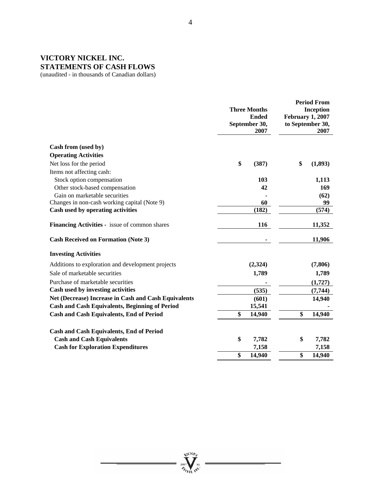## **VICTORY NICKEL INC. STATEMENTS OF CASH FLOWS**

(unaudited - in thousands of Canadian dollars)

| Cash from (used by)<br><b>Operating Activities</b><br>\$<br>Net loss for the period<br>\$<br>(387)<br>Items not affecting cash:<br>Stock option compensation<br>103<br>1,113<br>Other stock-based compensation<br>42<br>Gain on marketable securities<br>(62)<br>Changes in non-cash working capital (Note 9)<br>60<br>99<br>(182)<br>(574)<br>Cash used by operating activities<br>Financing Activities - issue of common shares<br>116<br>11,352<br><b>Cash Received on Formation (Note 3)</b><br><b>Investing Activities</b><br>Additions to exploration and development projects<br>(2,324)<br>(7,806)<br>Sale of marketable securities<br>1,789<br>1,789<br>Purchase of marketable securities<br>(1,727)<br>Cash used by investing activities<br>(535)<br>(7, 744)<br>Net (Decrease) Increase in Cash and Cash Equivalents<br>(601)<br>14,940<br><b>Cash and Cash Equivalents, Beginning of Period</b><br>15,541<br>\$<br>\$<br><b>Cash and Cash Equivalents, End of Period</b><br>14,940<br>14,940<br><b>Cash and Cash Equivalents, End of Period</b><br><b>Cash and Cash Equivalents</b><br>\$<br>7,782<br>\$<br><b>Cash for Exploration Expenditures</b><br>7,158<br>\$<br>\$<br>14,940<br>14,940 |  | <b>Three Months</b><br><b>Ended</b><br>September 30,<br>2007 | <b>Period From</b><br><b>Inception</b><br><b>February 1, 2007</b><br>to September 30,<br>2007 |
|-----------------------------------------------------------------------------------------------------------------------------------------------------------------------------------------------------------------------------------------------------------------------------------------------------------------------------------------------------------------------------------------------------------------------------------------------------------------------------------------------------------------------------------------------------------------------------------------------------------------------------------------------------------------------------------------------------------------------------------------------------------------------------------------------------------------------------------------------------------------------------------------------------------------------------------------------------------------------------------------------------------------------------------------------------------------------------------------------------------------------------------------------------------------------------------------------------------|--|--------------------------------------------------------------|-----------------------------------------------------------------------------------------------|
|                                                                                                                                                                                                                                                                                                                                                                                                                                                                                                                                                                                                                                                                                                                                                                                                                                                                                                                                                                                                                                                                                                                                                                                                           |  |                                                              |                                                                                               |
|                                                                                                                                                                                                                                                                                                                                                                                                                                                                                                                                                                                                                                                                                                                                                                                                                                                                                                                                                                                                                                                                                                                                                                                                           |  |                                                              |                                                                                               |
|                                                                                                                                                                                                                                                                                                                                                                                                                                                                                                                                                                                                                                                                                                                                                                                                                                                                                                                                                                                                                                                                                                                                                                                                           |  |                                                              | (1,893)                                                                                       |
|                                                                                                                                                                                                                                                                                                                                                                                                                                                                                                                                                                                                                                                                                                                                                                                                                                                                                                                                                                                                                                                                                                                                                                                                           |  |                                                              |                                                                                               |
|                                                                                                                                                                                                                                                                                                                                                                                                                                                                                                                                                                                                                                                                                                                                                                                                                                                                                                                                                                                                                                                                                                                                                                                                           |  |                                                              |                                                                                               |
|                                                                                                                                                                                                                                                                                                                                                                                                                                                                                                                                                                                                                                                                                                                                                                                                                                                                                                                                                                                                                                                                                                                                                                                                           |  |                                                              | 169                                                                                           |
|                                                                                                                                                                                                                                                                                                                                                                                                                                                                                                                                                                                                                                                                                                                                                                                                                                                                                                                                                                                                                                                                                                                                                                                                           |  |                                                              |                                                                                               |
|                                                                                                                                                                                                                                                                                                                                                                                                                                                                                                                                                                                                                                                                                                                                                                                                                                                                                                                                                                                                                                                                                                                                                                                                           |  |                                                              |                                                                                               |
|                                                                                                                                                                                                                                                                                                                                                                                                                                                                                                                                                                                                                                                                                                                                                                                                                                                                                                                                                                                                                                                                                                                                                                                                           |  |                                                              |                                                                                               |
|                                                                                                                                                                                                                                                                                                                                                                                                                                                                                                                                                                                                                                                                                                                                                                                                                                                                                                                                                                                                                                                                                                                                                                                                           |  |                                                              |                                                                                               |
|                                                                                                                                                                                                                                                                                                                                                                                                                                                                                                                                                                                                                                                                                                                                                                                                                                                                                                                                                                                                                                                                                                                                                                                                           |  |                                                              | 11,906                                                                                        |
|                                                                                                                                                                                                                                                                                                                                                                                                                                                                                                                                                                                                                                                                                                                                                                                                                                                                                                                                                                                                                                                                                                                                                                                                           |  |                                                              |                                                                                               |
|                                                                                                                                                                                                                                                                                                                                                                                                                                                                                                                                                                                                                                                                                                                                                                                                                                                                                                                                                                                                                                                                                                                                                                                                           |  |                                                              |                                                                                               |
|                                                                                                                                                                                                                                                                                                                                                                                                                                                                                                                                                                                                                                                                                                                                                                                                                                                                                                                                                                                                                                                                                                                                                                                                           |  |                                                              |                                                                                               |
|                                                                                                                                                                                                                                                                                                                                                                                                                                                                                                                                                                                                                                                                                                                                                                                                                                                                                                                                                                                                                                                                                                                                                                                                           |  |                                                              |                                                                                               |
|                                                                                                                                                                                                                                                                                                                                                                                                                                                                                                                                                                                                                                                                                                                                                                                                                                                                                                                                                                                                                                                                                                                                                                                                           |  |                                                              |                                                                                               |
|                                                                                                                                                                                                                                                                                                                                                                                                                                                                                                                                                                                                                                                                                                                                                                                                                                                                                                                                                                                                                                                                                                                                                                                                           |  |                                                              |                                                                                               |
|                                                                                                                                                                                                                                                                                                                                                                                                                                                                                                                                                                                                                                                                                                                                                                                                                                                                                                                                                                                                                                                                                                                                                                                                           |  |                                                              |                                                                                               |
|                                                                                                                                                                                                                                                                                                                                                                                                                                                                                                                                                                                                                                                                                                                                                                                                                                                                                                                                                                                                                                                                                                                                                                                                           |  |                                                              |                                                                                               |
|                                                                                                                                                                                                                                                                                                                                                                                                                                                                                                                                                                                                                                                                                                                                                                                                                                                                                                                                                                                                                                                                                                                                                                                                           |  |                                                              |                                                                                               |
|                                                                                                                                                                                                                                                                                                                                                                                                                                                                                                                                                                                                                                                                                                                                                                                                                                                                                                                                                                                                                                                                                                                                                                                                           |  |                                                              | 7,782                                                                                         |
|                                                                                                                                                                                                                                                                                                                                                                                                                                                                                                                                                                                                                                                                                                                                                                                                                                                                                                                                                                                                                                                                                                                                                                                                           |  |                                                              | 7,158                                                                                         |
|                                                                                                                                                                                                                                                                                                                                                                                                                                                                                                                                                                                                                                                                                                                                                                                                                                                                                                                                                                                                                                                                                                                                                                                                           |  |                                                              |                                                                                               |

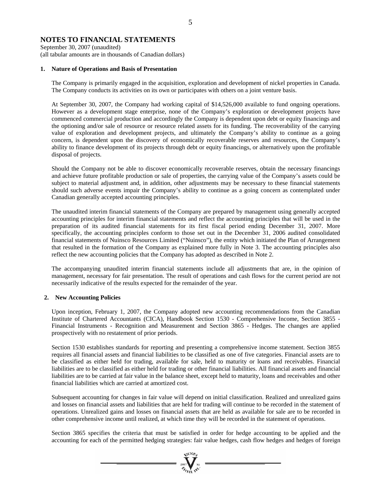### **NOTES TO FINANCIAL STATEMENTS**

September 30, 2007 (unaudited) (all tabular amounts are in thousands of Canadian dollars)

#### **1. Nature of Operations and Basis of Presentation**

The Company is primarily engaged in the acquisition, exploration and development of nickel properties in Canada. The Company conducts its activities on its own or participates with others on a joint venture basis.

At September 30, 2007, the Company had working capital of \$14,526,000 available to fund ongoing operations. However as a development stage enterprise, none of the Company's exploration or development projects have commenced commercial production and accordingly the Company is dependent upon debt or equity financings and the optioning and/or sale of resource or resource related assets for its funding. The recoverability of the carrying value of exploration and development projects, and ultimately the Company's ability to continue as a going concern, is dependent upon the discovery of economically recoverable reserves and resources, the Company's ability to finance development of its projects through debt or equity financings, or alternatively upon the profitable disposal of projects.

Should the Company not be able to discover economically recoverable reserves, obtain the necessary financings and achieve future profitable production or sale of properties, the carrying value of the Company's assets could be subject to material adjustment and, in addition, other adjustments may be necessary to these financial statements should such adverse events impair the Company's ability to continue as a going concern as contemplated under Canadian generally accepted accounting principles.

The unaudited interim financial statements of the Company are prepared by management using generally accepted accounting principles for interim financial statements and reflect the accounting principles that will be used in the preparation of its audited financial statements for its first fiscal period ending December 31, 2007. More specifically, the accounting principles conform to those set out in the December 31, 2006 audited consolidated financial statements of Nuinsco Resources Limited ("Nuinsco"), the entity which initiated the Plan of Arrangement that resulted in the formation of the Company as explained more fully in Note 3. The accounting principles also reflect the new accounting policies that the Company has adopted as described in Note 2.

The accompanying unaudited interim financial statements include all adjustments that are, in the opinion of management, necessary for fair presentation. The result of operations and cash flows for the current period are not necessarily indicative of the results expected for the remainder of the year.

#### **2. New Accounting Policies**

Upon inception, February 1, 2007, the Company adopted new accounting recommendations from the Canadian Institute of Chartered Accountants (CICA), Handbook Section 1530 - Comprehensive Income, Section 3855 - Financial Instruments - Recognition and Measurement and Section 3865 - Hedges. The changes are applied prospectively with no restatement of prior periods.

 Section 1530 establishes standards for reporting and presenting a comprehensive income statement. Section 3855 requires all financial assets and financial liabilities to be classified as one of five categories. Financial assets are to be classified as either held for trading, available for sale, held to maturity or loans and receivables. Financial liabilities are to be classified as either held for trading or other financial liabilities. All financial assets and financial liabilities are to be carried at fair value in the balance sheet, except held to maturity, loans and receivables and other financial liabilities which are carried at amortized cost.

Subsequent accounting for changes in fair value will depend on initial classification. Realized and unrealized gains and losses on financial assets and liabilities that are held for trading will continue to be recorded in the statement of operations. Unrealized gains and losses on financial assets that are held as available for sale are to be recorded in other comprehensive income until realized, at which time they will be recorded in the statement of operations.

Section 3865 specifies the criteria that must be satisfied in order for hedge accounting to be applied and the accounting for each of the permitted hedging strategies: fair value hedges, cash flow hedges and hedges of foreign

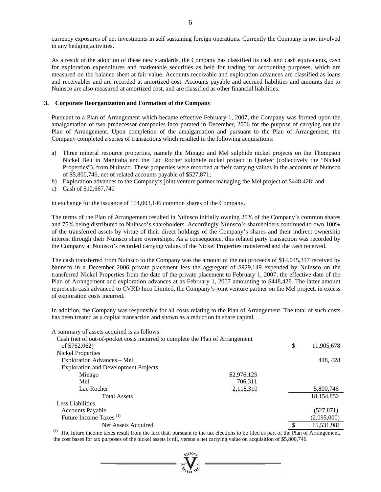currency exposures of net investments in self sustaining foreign operations. Currently the Company is not involved in any hedging activities.

As a result of the adoption of these new standards, the Company has classified its cash and cash equivalents, cash for exploration expenditures and marketable securities as held for trading for accounting purposes, which are measured on the balance sheet at fair value. Accounts receivable and exploration advances are classified as loans and receivables and are recorded at amortized cost. Accounts payable and accrued liabilities and amounts due to Nuinsco are also measured at amortized cost, and are classified as other financial liabilities.

#### **3. Corporate Reorganization and Formation of the Company**

Pursuant to a Plan of Arrangement which became effective February 1, 2007, the Company was formed upon the amalgamation of two predecessor companies incorporated in December, 2006 for the purpose of carrying out the Plan of Arrangement. Upon completion of the amalgamation and pursuant to the Plan of Arrangement, the Company completed a series of transactions which resulted in the following acquisitions:

- a) Three mineral resource properties, namely the Minago and Mel sulphide nickel projects on the Thompson Nickel Belt in Manitoba and the Lac Rocher sulphide nickel project in Quebec (collectively the "Nickel Properties"), from Nuinsco. These properties were recorded at their carrying values in the accounts of Nuinsco of \$5,800,746, net of related accounts payable of \$527,871;
- b) Exploration advances to the Company's joint venture partner managing the Mel project of \$448,428; and
- c) Cash of \$12,667,740

in exchange for the issuance of 154,003,146 common shares of the Company.

The terms of the Plan of Arrangement resulted in Nuinsco initially owning 25% of the Company's common shares and 75% being distributed to Nuinsco's shareholders. Accordingly Nuinsco's shareholders continued to own 100% of the transferred assets by virtue of their direct holdings of the Company's shares and their indirect ownership interest through their Nuinsco share ownerships. As a consequence, this related party transaction was recorded by the Company at Nuinsco's recorded carrying values of the Nickel Properties transferred and the cash received.

The cash transferred from Nuinsco to the Company was the amount of the net proceeds of \$14,045,317 received by Nuinsco in a December 2006 private placement less the aggregate of \$929,149 expended by Nuinsco on the transferred Nickel Properties from the date of the private placement to February 1, 2007, the effective date of the Plan of Arrangement and exploration advances at as February 1, 2007 amounting to \$448,428. The latter amount represents cash advanced to CVRD Inco Limited, the Company's joint venture partner on the Mel project, in excess of exploration costs incurred.

In addition, the Company was responsible for all costs relating to the Plan of Arrangement. The total of such costs has been treated as a capital transaction and shown as a reduction in share capital.

A summary of assets acquired is as follows:

| Cash (net of out-of-pocket costs incurred to complete the Plan of Arrangement |             |               |              |
|-------------------------------------------------------------------------------|-------------|---------------|--------------|
| of \$762,062)                                                                 |             | \$            | 11,905,678   |
| Nickel Properties                                                             |             |               |              |
| Exploration Advances – Mel                                                    |             |               | 448, 428     |
| <b>Exploration and Development Projects</b>                                   |             |               |              |
| Minago                                                                        | \$2,976,125 |               |              |
| Mel                                                                           | 706,311     |               |              |
| Lac Rocher                                                                    | 2,118,310   |               | 5,800,746    |
| <b>Total Assets</b>                                                           |             |               | 18, 154, 852 |
| Less Liabilities                                                              |             |               |              |
| <b>Accounts Payable</b>                                                       |             |               | (527, 871)   |
| Future Income Taxes <sup>(1)</sup>                                            |             |               | (2,095,000)  |
| Net Assets Acquired                                                           |             | $\mathcal{S}$ | 15,531,981   |

 $<sup>(1)</sup>$  The future income taxes result from the fact that, pursuant to the tax elections to be filed as part of the Plan of Arrangement,</sup> the cost bases for tax purposes of the nickel assets is nil, versus a net carrying value on acquisition of \$5,800,746.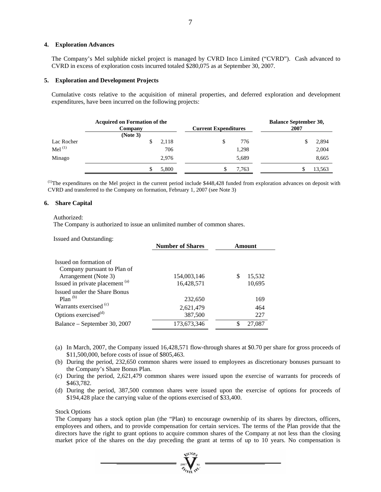#### **4. Exploration Advances**

The Company's Mel sulphide nickel project is managed by CVRD Inco Limited ("CVRD"). Cash advanced to CVRD in excess of exploration costs incurred totaled \$280,075 as at September 30, 2007.

#### **5. Exploration and Development Projects**

 Cumulative costs relative to the acquisition of mineral properties, and deferred exploration and development expenditures, have been incurred on the following projects:

|            | <b>Acquired on Formation of the</b><br>Company |     | <b>Current Expenditures</b> |       | <b>Balance September 30,</b><br>2007 |        |
|------------|------------------------------------------------|-----|-----------------------------|-------|--------------------------------------|--------|
| Lac Rocher | (Note 3)<br>2.118                              |     |                             | 776   |                                      | 2,894  |
| Mel $(1)$  |                                                | 706 |                             | 1,298 |                                      | 2,004  |
| Minago     | 2.976                                          |     |                             | 5,689 |                                      | 8,665  |
|            | 5,800                                          |     |                             | 7,763 |                                      | 13,563 |

 $<sup>(1)</sup>$ The expenditures on the Mel project in the current period include \$448,428 funded from exploration advances on deposit with</sup> CVRD and transferred to the Company on formation, February 1, 2007 (see Note 3)

#### **6. Share Capital**

#### Authorized:

The Company is authorized to issue an unlimited number of common shares.

Issued and Outstanding:

|                                                                       | <b>Number of Shares</b>   |                        |
|-----------------------------------------------------------------------|---------------------------|------------------------|
| Issued on formation of<br>Company pursuant to Plan of                 |                           |                        |
| Arrangement (Note 3)<br>Issued in private placement (a)               | 154,003,146<br>16,428,571 | \$<br>15,532<br>10,695 |
| Issued under the Share Bonus<br>$Plan^{(b)}$                          | 232,650                   | 169                    |
| Warrants exercised <sup>(c)</sup><br>Options exercised <sup>(d)</sup> | 2,621,479<br>387,500      | 464<br>227             |
| Balance – September 30, 2007                                          | 173,673,346               | 27,087<br>\$           |

- (a) In March, 2007, the Company issued 16,428,571 flow-through shares at \$0.70 per share for gross proceeds of \$11,500,000, before costs of issue of \$805,463.
- (b) During the period, 232,650 common shares were issued to employees as discretionary bonuses pursuant to the Company's Share Bonus Plan.
- (c) During the period, 2,621,479 common shares were issued upon the exercise of warrants for proceeds of \$463,782.
- (d) During the period, 387,500 common shares were issued upon the exercise of options for proceeds of \$194,428 place the carrying value of the options exercised of \$33,400.

#### Stock Options

The Company has a stock option plan (the "Plan) to encourage ownership of its shares by directors, officers, employees and others, and to provide compensation for certain services. The terms of the Plan provide that the directors have the right to grant options to acquire common shares of the Company at not less than the closing market price of the shares on the day preceding the grant at terms of up to 10 years. No compensation is

 $\frac{2007}{\sigma}$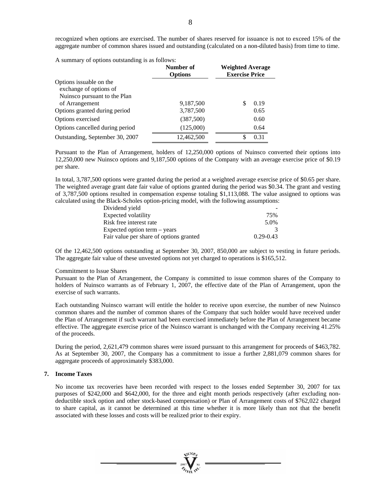A summary of options outstanding is as follows:

|                                                    | Number of<br><b>Options</b> | <b>Weighted Average</b><br><b>Exercise Price</b> |
|----------------------------------------------------|-----------------------------|--------------------------------------------------|
| Options is suable on the<br>exchange of options of |                             |                                                  |
| Nuinsco pursuant to the Plan<br>of Arrangement     | 9,187,500                   | 0.19                                             |
| Options granted during period                      | 3,787,500                   | 0.65                                             |
| Options exercised                                  | (387,500)                   | 0.60                                             |
| Options cancelled during period                    | (125,000)                   | 0.64                                             |
| Outstanding, September 30, 2007                    | 12,462,500                  | 0.31<br>S                                        |

Pursuant to the Plan of Arrangement, holders of 12,250,000 options of Nuinsco converted their options into 12,250,000 new Nuinsco options and 9,187,500 options of the Company with an average exercise price of \$0.19 per share.

In total, 3,787,500 options were granted during the period at a weighted average exercise price of \$0.65 per share. The weighted average grant date fair value of options granted during the period was \$0.34. The grant and vesting of 3,787,500 options resulted in compensation expense totaling \$1,113,088. The value assigned to options was calculated using the Black-Scholes option-pricing model, with the following assumptions:

| Dividend yield                          |               |
|-----------------------------------------|---------------|
| Expected volatility                     | 75%           |
| Risk free interest rate                 | 5.0%          |
| Expected option term – years            |               |
| Fair value per share of options granted | $0.29 - 0.43$ |

Of the 12,462,500 options outstanding at September 30, 2007, 850,000 are subject to vesting in future periods. The aggregate fair value of these unvested options not yet charged to operations is \$165,512.

#### Commitment to Issue Shares

Pursuant to the Plan of Arrangement, the Company is committed to issue common shares of the Company to holders of Nuinsco warrants as of February 1, 2007, the effective date of the Plan of Arrangement, upon the exercise of such warrants.

Each outstanding Nuinsco warrant will entitle the holder to receive upon exercise, the number of new Nuinsco common shares and the number of common shares of the Company that such holder would have received under the Plan of Arrangement if such warrant had been exercised immediately before the Plan of Arrangement became effective. The aggregate exercise price of the Nuinsco warrant is unchanged with the Company receiving 41.25% of the proceeds.

During the period, 2,621,479 common shares were issued pursuant to this arrangement for proceeds of \$463,782. As at September 30, 2007, the Company has a commitment to issue a further 2,881,079 common shares for aggregate proceeds of approximately \$383,000.

#### **7. Income Taxes**

No income tax recoveries have been recorded with respect to the losses ended September 30, 2007 for tax purposes of \$242,000 and \$642,000, for the three and eight month periods respectively (after excluding nondeductible stock option and other stock-based compensation) or Plan of Arrangement costs of \$762,022 charged to share capital, as it cannot be determined at this time whether it is more likely than not that the benefit associated with these losses and costs will be realized prior to their expiry.

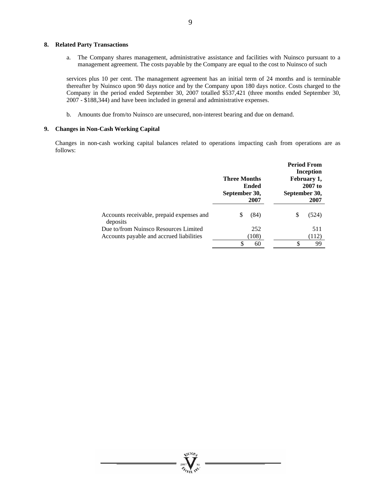#### **8. Related Party Transactions**

a. The Company shares management, administrative assistance and facilities with Nuinsco pursuant to a management agreement. The costs payable by the Company are equal to the cost to Nuinsco of such

services plus 10 per cent. The management agreement has an initial term of 24 months and is terminable thereafter by Nuinsco upon 90 days notice and by the Company upon 180 days notice. Costs charged to the Company in the period ended September 30, 2007 totalled \$537,421 (three months ended September 30, 2007 - \$188,344) and have been included in general and administrative expenses.

b. Amounts due from/to Nuinsco are unsecured, non-interest bearing and due on demand.

#### **9. Changes in Non-Cash Working Capital**

Changes in non-cash working capital balances related to operations impacting cash from operations are as follows:

|                                           |                                                       |       |    | <b>Period From</b><br>Inception                   |
|-------------------------------------------|-------------------------------------------------------|-------|----|---------------------------------------------------|
|                                           | <b>Three Months</b><br>Ended<br>September 30,<br>2007 |       |    | February 1,<br>$2007$ to<br>September 30,<br>2007 |
| Accounts receivable, prepaid expenses and |                                                       | (84)  | \$ | (524)                                             |
| deposits                                  |                                                       |       |    |                                                   |
| Due to/from Nuinsco Resources Limited     |                                                       | 252   |    | 511                                               |
| Accounts payable and accrued liabilities  |                                                       | (108) |    | (112)                                             |
|                                           | \$                                                    | 60    | S  | 99                                                |



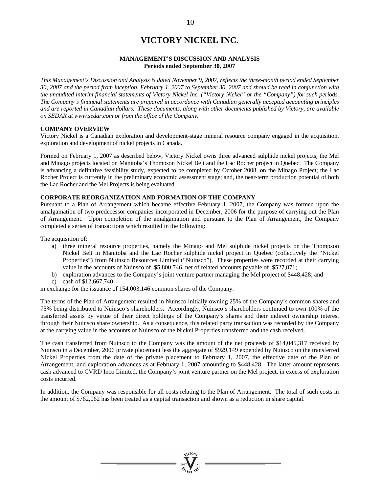# **VICTORY NICKEL INC.**

#### **MANAGEMENT'S DISCUSSION AND ANALYSIS Periods ended September 30, 2007**

*This Management's Discussion and Analysis is dated November 9, 2007, reflects the three-month period ended September 30, 2007 and the period from inception, February 1, 2007 to September 30, 2007 and should be read in conjunction with the unaudited interim financial statements of Victory Nickel Inc. ("Victory Nickel" or the "Company") for such periods. The Company's financial statements are prepared in accordance with Canadian generally accepted accounting principles and are reported in Canadian dollars. These documents, along with other documents published by Victory, are available on SEDAR at www.sedar.com or from the office of the Company.* 

#### **COMPANY OVERVIEW**

Victory Nickel is a Canadian exploration and development-stage mineral resource company engaged in the acquisition, exploration and development of nickel projects in Canada.

Formed on February 1, 2007 as described below, Victory Nickel owns three advanced sulphide nickel projects, the Mel and Minago projects located on Manitoba's Thompson Nickel Belt and the Lac Rocher project in Quebec. The Company is advancing a definitive feasibility study, expected to be completed by October 2008, on the Minago Project; the Lac Rocher Project is currently in the preliminary economic assessment stage; and, the near-term production potential of both the Lac Rocher and the Mel Projects is being evaluated.

#### **CORPORATE REORGANIZATION AND FORMATION OF THE COMPANY**

Pursuant to a Plan of Arrangement which became effective February 1, 2007, the Company was formed upon the amalgamation of two predecessor companies incorporated in December, 2006 for the purpose of carrying out the Plan of Arrangement. Upon completion of the amalgamation and pursuant to the Plan of Arrangement, the Company completed a series of transactions which resulted in the following:

The acquisition of:

- a) three mineral resource properties, namely the Minago and Mel sulphide nickel projects on the Thompson Nickel Belt in Manitoba and the Lac Rocher sulphide nickel project in Quebec (collectively the "Nickel Properties") from Nuinsco Resources Limited ("Nuinsco"). These properties were recorded at their carrying value in the accounts of Nuinsco of \$5,800,746, net of related accounts payable of \$527,871;
- b) exploration advances to the Company's joint venture partner managing the Mel project of \$448,428; and
- c) cash of \$12,667,740

in exchange for the issuance of 154,003,146 common shares of the Company.

The terms of the Plan of Arrangement resulted in Nuinsco initially owning 25% of the Company's common shares and 75% being distributed to Nuinsco's shareholders. Accordingly, Nuinsco's shareholders continued to own 100% of the transferred assets by virtue of their direct holdings of the Company's shares and their indirect ownership interest through their Nuinsco share ownership. As a consequence, this related party transaction was recorded by the Company at the carrying value in the accounts of Nuinsco of the Nickel Properties transferred and the cash received.

The cash transferred from Nuinsco to the Company was the amount of the net proceeds of \$14,045,317 received by Nuinsco in a December, 2006 private placement less the aggregate of \$929,149 expended by Nuinsco on the transferred Nickel Properties from the date of the private placement to February 1, 2007, the effective date of the Plan of Arrangement, and exploration advances as at February 1, 2007 amounting to \$448,428. The latter amount represents cash advanced to CVRD Inco Limited, the Company's joint venture partner on the Mel project, in excess of exploration costs incurred.

In addition, the Company was responsible for all costs relating to the Plan of Arrangement. The total of such costs in the amount of \$762,062 has been treated as a capital transaction and shown as a reduction in share capital.

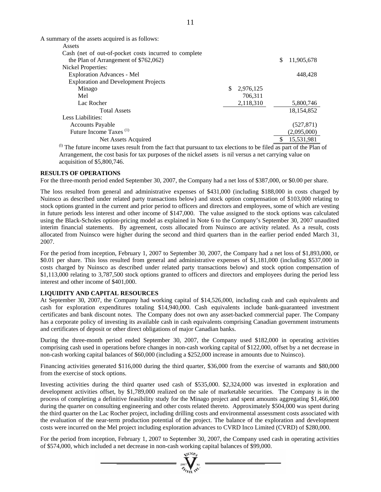| A summary of the assets acquired is as follows:       |                 |                                                  |
|-------------------------------------------------------|-----------------|--------------------------------------------------|
| Assets                                                |                 |                                                  |
| Cash (net of out-of-pocket costs incurred to complete |                 |                                                  |
| the Plan of Arrangement of \$762,062)                 |                 | 11,905,678<br>\$                                 |
| <b>Nickel Properties:</b>                             |                 |                                                  |
| <b>Exploration Advances - Mel</b>                     |                 | 448,428                                          |
| <b>Exploration and Development Projects</b>           |                 |                                                  |
| Minago                                                | 2,976,125<br>S. |                                                  |
| Mel                                                   | 706,311         |                                                  |
| Lac Rocher                                            | 2,118,310       | 5,800,746                                        |
| <b>Total Assets</b>                                   |                 | 18,154,852                                       |
| Less Liabilities:                                     |                 |                                                  |
| <b>Accounts Payable</b>                               |                 | (527, 871)                                       |
| Future Income Taxes <sup>(1)</sup>                    |                 | (2,095,000)                                      |
| Net Assets Acquired                                   |                 | 15,531,981                                       |
|                                                       |                 | $\sim$ $\sim$ $\sim$ $\sim$ $\sim$ $\sim$ $\sim$ |

 $\alpha$  The future income taxes result from the fact that pursuant to tax elections to be filed as part of the Plan of Arrangement, the cost basis for tax purposes of the nickel assets is nil versus a net carrying value on acquisition of \$5,800,746.

#### **RESULTS OF OPERATIONS**

For the three-month period ended September 30, 2007, the Company had a net loss of \$387,000, or \$0.00 per share.

The loss resulted from general and administrative expenses of \$431,000 (including \$188,000 in costs charged by Nuinsco as described under related party transactions below) and stock option compensation of \$103,000 relating to stock options granted in the current and prior period to officers and directors and employees, some of which are vesting in future periods less interest and other income of \$147,000. The value assigned to the stock options was calculated using the Black-Scholes option-pricing model as explained in Note 6 to the Company's September 30, 2007 unaudited interim financial statements. By agreement, costs allocated from Nuinsco are activity related. As a result, costs allocated from Nuinsco were higher during the second and third quarters than in the earlier period ended March 31, 2007.

For the period from inception, February 1, 2007 to September 30, 2007, the Company had a net loss of \$1,893,000, or \$0.01 per share. This loss resulted from general and administrative expenses of \$1,181,000 (including \$537,000 in costs charged by Nuinsco as described under related party transactions below) and stock option compensation of \$1,113,000 relating to 3,787,500 stock options granted to officers and directors and employees during the period less interest and other income of \$401,000.

#### **LIQUIDITY AND CAPITAL RESOURCES**

At September 30, 2007, the Company had working capital of \$14,526,000, including cash and cash equivalents and cash for exploration expenditures totaling \$14,940,000. Cash equivalents include bank-guaranteed investment certificates and bank discount notes. The Company does not own any asset-backed commercial paper. The Company has a corporate policy of investing its available cash in cash equivalents comprising Canadian government instruments and certificates of deposit or other direct obligations of major Canadian banks.

During the three-month period ended September 30, 2007, the Company used \$182,000 in operating activities comprising cash used in operations before changes in non-cash working capital of \$122,000, offset by a net decrease in non-cash working capital balances of \$60,000 (including a \$252,000 increase in amounts due to Nuinsco).

Financing activities generated \$116,000 during the third quarter, \$36,000 from the exercise of warrants and \$80,000 from the exercise of stock options.

Investing activities during the third quarter used cash of \$535,000. \$2,324,000 was invested in exploration and development activities offset, by \$1,789,000 realized on the sale of marketable securities. The Company is in the process of completing a definitive feasibility study for the Minago project and spent amounts aggregating \$1,466,000 during the quarter on consulting engineering and other costs related thereto. Approximately \$504,000 was spent during the third quarter on the Lac Rocher project, including drilling costs and environmental assessment costs associated with the evaluation of the near-term production potential of the project. The balance of the exploration and development costs were incurred on the Mel project including exploration advances to CVRD Inco Limited (CVRD) of \$280,000.

For the period from inception, February 1, 2007 to September 30, 2007, the Company used cash in operating activities of \$574,000, which included a net decrease in non-cash working capital balances of \$99,000.

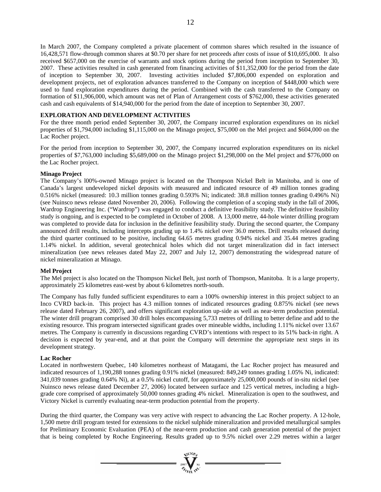In March 2007, the Company completed a private placement of common shares which resulted in the issuance of 16,428,571 flow-through common shares at \$0.70 per share for net proceeds after costs of issue of \$10,695,000. It also received \$657,000 on the exercise of warrants and stock options during the period from inception to September 30, 2007. These activities resulted in cash generated from financing activities of \$11,352,000 for the period from the date of inception to September 30, 2007. Investing activities included \$7,806,000 expended on exploration and development projects, net of exploration advances transferred to the Company on inception of \$448,000 which were used to fund exploration expenditures during the period. Combined with the cash transferred to the Company on formation of \$11,906,000, which amount was net of Plan of Arrangement costs of \$762,000, these activities generated cash and cash equivalents of \$14,940,000 for the period from the date of inception to September 30, 2007.

#### **EXPLORATION AND DEVELOPMENT ACTIVITIES**

For the three month period ended September 30, 2007, the Company incurred exploration expenditures on its nickel properties of \$1,794,000 including \$1,115,000 on the Minago project, \$75,000 on the Mel project and \$604,000 on the Lac Rocher project.

For the period from inception to September 30, 2007, the Company incurred exploration expenditures on its nickel properties of \$7,763,000 including \$5,689,000 on the Minago project \$1,298,000 on the Mel project and \$776,000 on the Lac Rocher project.

#### **Minago Project**

The Company's l00%-owned Minago project is located on the Thompson Nickel Belt in Manitoba, and is one of Canada's largest undeveloped nickel deposits with measured and indicated resource of 49 million tonnes grading 0.516% nickel (measured: 10.3 million tonnes grading 0.593% Ni; indicated: 38.8 million tonnes grading 0.496% Ni) (see Nuinsco news release dated November 20, 2006). Following the completion of a scoping study in the fall of 2006, Wardrop Engineering Inc. ("Wardrop") was engaged to conduct a definitive feasibility study. The definitive feasibility study is ongoing, and is expected to be completed in October of 2008. A 13,000 metre, 44-hole winter drilling program was completed to provide data for inclusion in the definitive feasibility study. During the second quarter, the Company announced drill results, including intercepts grading up to 1.4% nickel over 36.0 metres. Drill results released during the third quarter continued to be positive, including 64.65 metres grading 0.94% nickel and 35.44 metres grading 1.14% nickel. In addition, several geotechnical holes which did not target mineralization did in fact intersect mineralization (see news releases dated May 22, 2007 and July 12, 2007) demonstrating the widespread nature of nickel mineralization at Minago.

#### **Mel Project**

The Mel project is also located on the Thompson Nickel Belt, just north of Thompson, Manitoba. It is a large property, approximately 25 kilometres east-west by about 6 kilometres north-south.

The Company has fully funded sufficient expenditures to earn a 100% ownership interest in this project subject to an Inco CVRD back-in. This project has 4.3 million tonnes of indicated resources grading 0.875% nickel (see news release dated February 26, 2007), and offers significant exploration up-side as well as near-term production potential. The winter drill program comprised 30 drill holes encompassing 5,733 metres of drilling to better define and add to the existing resource. This program intersected significant grades over mineable widths, including 1.11% nickel over 13.67 metres. The Company is currently in discussions regarding CVRD's intentions with respect to its 51% back-in right. A decision is expected by year-end, and at that point the Company will determine the appropriate next steps in its development strategy.

#### **Lac Rocher**

Located in northwestern Quebec, 140 kilometres northeast of Matagami, the Lac Rocher project has measured and indicated resources of 1,190,288 tonnes grading 0.91% nickel (measured: 849,249 tonnes grading 1.05% Ni, indicated: 341,039 tonnes grading 0.64% Ni), at a 0.5% nickel cutoff, for approximately 25,000,000 pounds of in-situ nickel (see Nuinsco news release dated December 27, 2006) located between surface and 125 vertical metres, including a highgrade core comprised of approximately 50,000 tonnes grading 4% nickel. Mineralization is open to the southwest, and Victory Nickel is currently evaluating near-term production potential from the property.

During the third quarter, the Company was very active with respect to advancing the Lac Rocher property. A 12-hole, 1,500 metre drill program tested for extensions to the nickel sulphide mineralization and provided metallurgical samples for Preliminary Economic Evaluation (PEA) of the near-term production and cash generation potential of the project that is being completed by Roche Engineering. Results graded up to 9.5% nickel over 2.29 metres within a larger

 $\frac{2007}{\sigma}$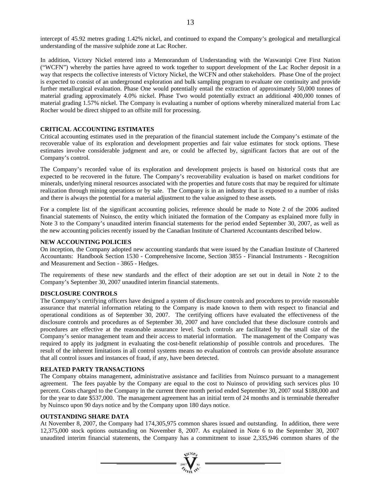intercept of 45.92 metres grading 1.42% nickel, and continued to expand the Company's geological and metallurgical understanding of the massive sulphide zone at Lac Rocher.

In addition, Victory Nickel entered into a Memorandum of Understanding with the Waswanipi Cree First Nation ("WCFN") whereby the parties have agreed to work together to support development of the Lac Rocher deposit in a way that respects the collective interests of Victory Nickel, the WCFN and other stakeholders. Phase One of the project is expected to consist of an underground exploration and bulk sampling program to evaluate ore continuity and provide further metallurgical evaluation. Phase One would potentially entail the extraction of approximately 50,000 tonnes of material grading approximately 4.0% nickel. Phase Two would potentially extract an additional 400,000 tonnes of material grading 1.57% nickel. The Company is evaluating a number of options whereby mineralized material from Lac Rocher would be direct shipped to an offsite mill for processing.

#### **CRITICAL ACCOUNTING ESTIMATES**

Critical accounting estimates used in the preparation of the financial statement include the Company's estimate of the recoverable value of its exploration and development properties and fair value estimates for stock options. These estimates involve considerable judgment and are, or could be affected by, significant factors that are out of the Company's control.

The Company's recorded value of its exploration and development projects is based on historical costs that are expected to be recovered in the future. The Company's recoverability evaluation is based on market conditions for minerals, underlying mineral resources associated with the properties and future costs that may be required for ultimate realization through mining operations or by sale. The Company is in an industry that is exposed to a number of risks and there is always the potential for a material adjustment to the value assigned to these assets.

For a complete list of the significant accounting policies, reference should be made to Note 2 of the 2006 audited financial statements of Nuinsco, the entity which initiated the formation of the Company as explained more fully in Note 3 to the Company's unaudited interim financial statements for the period ended September 30, 2007, as well as the new accounting policies recently issued by the Canadian Institute of Chartered Accountants described below.

#### **NEW ACCOUNTING POLICIES**

On inception, the Company adopted new accounting standards that were issued by the Canadian Institute of Chartered Accountants: Handbook Section 1530 - Comprehensive Income, Section 3855 - Financial Instruments - Recognition and Measurement and Section - 3865 - Hedges.

The requirements of these new standards and the effect of their adoption are set out in detail in Note 2 to the Company's September 30, 2007 unaudited interim financial statements.

#### **DISCLOSURE CONTROLS**

The Company's certifying officers have designed a system of disclosure controls and procedures to provide reasonable assurance that material information relating to the Company is made known to them with respect to financial and operational conditions as of September 30, 2007. The certifying officers have evaluated the effectiveness of the disclosure controls and procedures as of September 30, 2007 and have concluded that these disclosure controls and procedures are effective at the reasonable assurance level. Such controls are facilitated by the small size of the Company's senior management team and their access to material information. The management of the Company was required to apply its judgment in evaluating the cost-benefit relationship of possible controls and procedures. The result of the inherent limitations in all control systems means no evaluation of controls can provide absolute assurance that all control issues and instances of fraud, if any, have been detected.

#### **RELATED PARTY TRANSACTIONS**

The Company obtains management, administrative assistance and facilities from Nuinsco pursuant to a management agreement. The fees payable by the Company are equal to the cost to Nuinsco of providing such services plus 10 percent. Costs charged to the Company in the current three month period ended September 30, 2007 total \$188,000 and for the year to date \$537,000. The management agreement has an initial term of 24 months and is terminable thereafter by Nuinsco upon 90 days notice and by the Company upon 180 days notice.

#### **OUTSTANDING SHARE DATA**

At November 8, 2007, the Company had 174,305,975 common shares issued and outstanding. In addition, there were 12,375,000 stock options outstanding on November 8, 2007. As explained in Note 6 to the September 30, 2007 unaudited interim financial statements, the Company has a commitment to issue 2,335,946 common shares of the

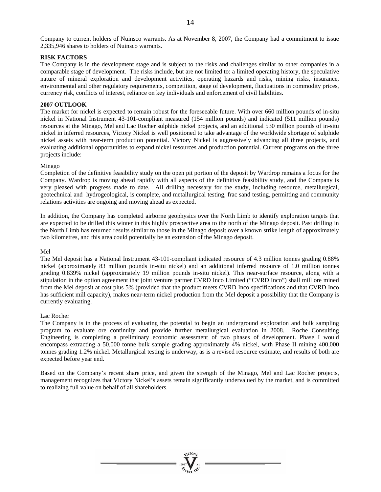Company to current holders of Nuinsco warrants. As at November 8, 2007, the Company had a commitment to issue 2,335,946 shares to holders of Nuinsco warrants.

#### **RISK FACTORS**

The Company is in the development stage and is subject to the risks and challenges similar to other companies in a comparable stage of development. The risks include, but are not limited to: a limited operating history, the speculative nature of mineral exploration and development activities, operating hazards and risks, mining risks, insurance, environmental and other regulatory requirements, competition, stage of development, fluctuations in commodity prices, currency risk, conflicts of interest, reliance on key individuals and enforcement of civil liabilities.

#### **2007 OUTLOOK**

The market for nickel is expected to remain robust for the foreseeable future. With over 660 million pounds of in-situ nickel in National Instrument 43-101-compliant measured (154 million pounds) and indicated (511 million pounds) resources at the Minago, Mel and Lac Rocher sulphide nickel projects, and an additional 530 million pounds of in-situ nickel in inferred resources, Victory Nickel is well positioned to take advantage of the worldwide shortage of sulphide nickel assets with near-term production potential. Victory Nickel is aggressively advancing all three projects, and evaluating additional opportunities to expand nickel resources and production potential. Current programs on the three projects include:

#### Minago

Completion of the definitive feasibility study on the open pit portion of the deposit by Wardrop remains a focus for the Company. Wardrop is moving ahead rapidly with all aspects of the definitive feasibility study, and the Company is very pleased with progress made to date. All drilling necessary for the study, including resource, metallurgical, geotechnical and hydrogeological, is complete, and metallurgical testing, frac sand testing, permitting and community relations activities are ongoing and moving ahead as expected.

In addition, the Company has completed airborne geophysics over the North Limb to identify exploration targets that are expected to be drilled this winter in this highly prospective area to the north of the Minago deposit. Past drilling in the North Limb has returned results similar to those in the Minago deposit over a known strike length of approximately two kilometres, and this area could potentially be an extension of the Minago deposit.

#### Mel

The Mel deposit has a National Instrument 43-101-compliant indicated resource of 4.3 million tonnes grading 0.88% nickel (approximately 83 million pounds in-situ nickel) and an additional inferred resource of 1.0 million tonnes grading 0.839% nickel (approximately 19 million pounds in-situ nickel). This near-surface resource, along with a stipulation in the option agreement that joint venture partner CVRD Inco Limited ("CVRD Inco") shall mill ore mined from the Mel deposit at cost plus 5% (provided that the product meets CVRD Inco specifications and that CVRD Inco has sufficient mill capacity), makes near-term nickel production from the Mel deposit a possibility that the Company is currently evaluating.

#### Lac Rocher

The Company is in the process of evaluating the potential to begin an underground exploration and bulk sampling program to evaluate ore continuity and provide further metallurgical evaluation in 2008. Roche Consulting Engineering is completing a preliminary economic assessment of two phases of development. Phase I would encompass extracting a 50,000 tonne bulk sample grading approximately 4% nickel, with Phase II mining 400,000 tonnes grading 1.2% nickel. Metallurgical testing is underway, as is a revised resource estimate, and results of both are expected before year end.

Based on the Company's recent share price, and given the strength of the Minago, Mel and Lac Rocher projects, management recognizes that Victory Nickel's assets remain significantly undervalued by the market, and is committed to realizing full value on behalf of all shareholders.